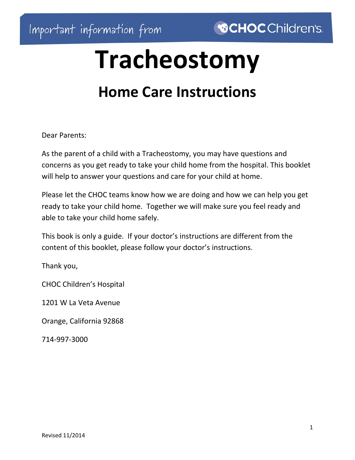# **Tracheostomy**

# **Home Care Instructions**

Dear Parents:

As the parent of a child with a Tracheostomy, you may have questions and concerns as you get ready to take your child home from the hospital. This booklet will help to answer your questions and care for your child at home.

Please let the CHOC teams know how we are doing and how we can help you get ready to take your child home. Together we will make sure you feel ready and able to take your child home safely.

This book is only a guide. If your doctor's instructions are different from the content of this booklet, please follow your doctor's instructions.

Thank you,

CHOC Children's Hospital

1201 W La Veta Avenue

Orange, California 92868

714‐997‐3000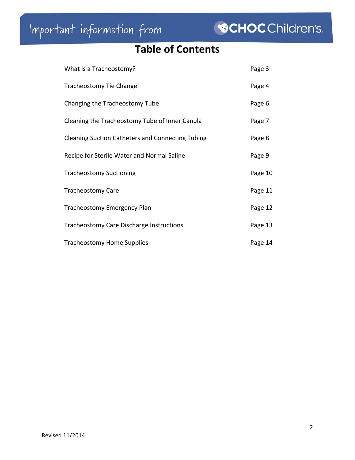# **Table of Contents**

| What is a Tracheostomy?                                 | Page 3  |
|---------------------------------------------------------|---------|
| Tracheostomy Tie Change                                 | Page 4  |
| Changing the Tracheostomy Tube                          | Page 6  |
| Cleaning the Tracheostomy Tube of Inner Canula          | Page 7  |
| <b>Cleaning Suction Catheters and Connecting Tubing</b> | Page 8  |
| Recipe for Sterile Water and Normal Saline              | Page 9  |
| <b>Tracheostomy Suctioning</b>                          | Page 10 |
| <b>Tracheostomy Care</b>                                | Page 11 |
| <b>Tracheostomy Emergency Plan</b>                      | Page 12 |
| Tracheostomy Care Discharge Instructions                | Page 13 |
| <b>Tracheostomy Home Supplies</b>                       | Page 14 |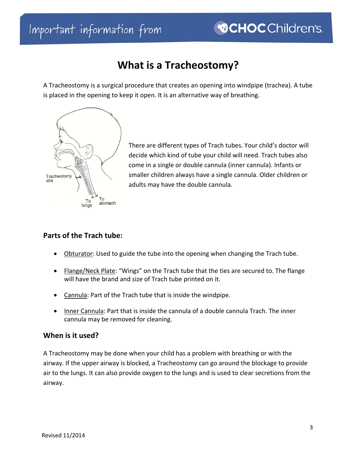# Important information from

# **What is a Tracheostomy?**

A Tracheostomy is a surgical procedure that creates an opening into windpipe (trachea). A tube is placed in the opening to keep it open. It is an alternative way of breathing.



There are different types of Trach tubes. Your child's doctor will decide which kind of tube your child will need. Trach tubes also come in a single or double cannula (inner cannula). Infants or smaller children always have a single cannula. Older children or adults may have the double cannula.

#### **Parts of the Trach tube:**

- Obturator: Used to guide the tube into the opening when changing the Trach tube.
- Flange/Neck Plate: "Wings" on the Trach tube that the ties are secured to. The flange will have the brand and size of Trach tube printed on it.
- Cannula: Part of the Trach tube that is inside the windpipe.
- Inner Cannula: Part that is inside the cannula of a double cannula Trach. The inner cannula may be removed for cleaning.

#### **When is it used?**

A Tracheostomy may be done when your child has a problem with breathing or with the airway. If the upper airway is blocked, a Tracheostomy can go around the blockage to provide air to the lungs. It can also provide oxygen to the lungs and is used to clear secretions from the airway.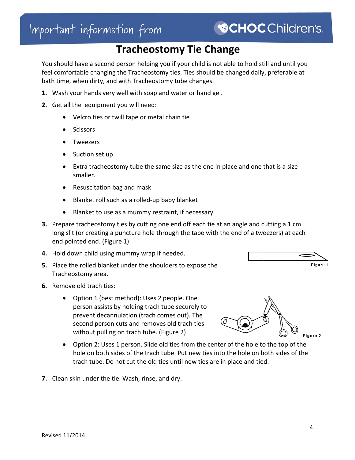### **Tracheostomy Tie Change**

You should have a second person helping you if your child is not able to hold still and until you feel comfortable changing the Tracheostomy ties. Ties should be changed daily, preferable at bath time, when dirty, and with Tracheostomy tube changes.

- **1.** Wash your hands very well with soap and water or hand gel.
- **2.** Get all the equipment you will need:
	- Velcro ties or twill tape or metal chain tie
	- **Scissors**
	- Tweezers
	- Suction set up
	- Extra tracheostomy tube the same size as the one in place and one that is a size smaller.
	- Resuscitation bag and mask
	- Blanket roll such as a rolled-up baby blanket
	- Blanket to use as a mummy restraint, if necessary
- **3.** Prepare tracheostomy ties by cutting one end off each tie at an angle and cutting a 1 cm long slit (or creating a puncture hole through the tape with the end of a tweezers) at each end pointed end. (Figure 1)
- **4.** Hold down child using mummy wrap if needed.
- **5.** Place the rolled blanket under the shoulders to expose the Tracheostomy area.
- **6.** Remove old trach ties:
	- Option 1 (best method): Uses 2 people. One person assists by holding trach tube securely to prevent decannulation (trach comes out). The second person cuts and removes old trach ties without pulling on trach tube. (Figure 2)
	- Option 2: Uses 1 person. Slide old ties from the center of the hole to the top of the hole on both sides of the trach tube. Put new ties into the hole on both sides of the trach tube. Do not cut the old ties until new ties are in place and tied.
- **7.** Clean skin under the tie. Wash, rinse, and dry.



Figure 2

Figure 1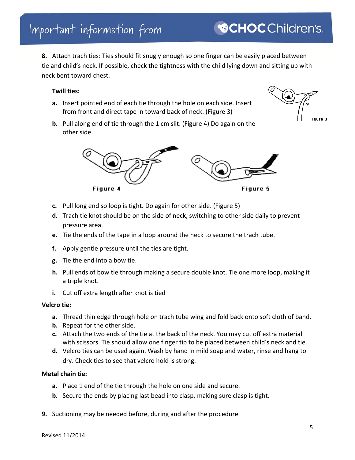# Important information from

**8.** Attach trach ties: Ties should fit snugly enough so one finger can be easily placed between tie and child's neck. If possible, check the tightness with the child lying down and sitting up with neck bent toward chest.

#### **Twill ties:**

- **a.** Insert pointed end of each tie through the hole on each side. Insert from front and direct tape in toward back of neck. (Figure 3)
- **b.** Pull along end of tie through the 1 cm slit. (Figure 4) Do again on the other side.

- **c.** Pull long end so loop is tight. Do again for other side. (Figure 5)
- **d.** Trach tie knot should be on the side of neck, switching to other side daily to prevent pressure area.
- **e.** Tie the ends of the tape in a loop around the neck to secure the trach tube.
- **f.** Apply gentle pressure until the ties are tight.
- **g.** Tie the end into a bow tie.
- **h.** Pull ends of bow tie through making a secure double knot. Tie one more loop, making it a triple knot.
- **i.** Cut off extra length after knot is tied

Figure 4

#### **Velcro tie:**

- **a.** Thread thin edge through hole on trach tube wing and fold back onto soft cloth of band.
- **b.** Repeat for the other side.
- **c.** Attach the two ends of the tie at the back of the neck. You may cut off extra material with scissors. Tie should allow one finger tip to be placed between child's neck and tie.
- **d.** Velcro ties can be used again. Wash by hand in mild soap and water, rinse and hang to dry. Check ties to see that velcro hold is strong.

#### **Metal chain tie:**

- **a.** Place 1 end of the tie through the hole on one side and secure.
- **b.** Secure the ends by placing last bead into clasp, making sure clasp is tight.
- **9.** Suctioning may be needed before, during and after the procedure



Figure 5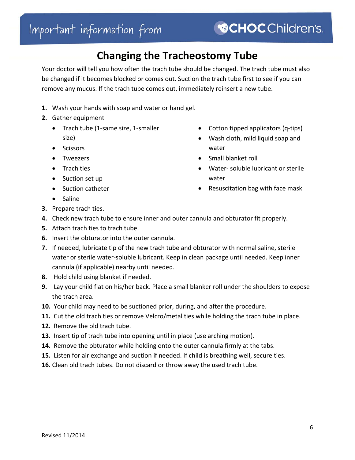# **Changing the Tracheostomy Tube**

Your doctor will tell you how often the trach tube should be changed. The trach tube must also be changed if it becomes blocked or comes out. Suction the trach tube first to see if you can remove any mucus. If the trach tube comes out, immediately reinsert a new tube.

- **1.** Wash your hands with soap and water or hand gel.
- **2.** Gather equipment
	- Trach tube (1‐same size, 1‐smaller size)
	- Scissors
	- Tweezers
	- Trach ties
	- Suction set up
	- Suction catheter
- Cotton tipped applicators (q-tips)
- Wash cloth, mild liquid soap and water
- Small blanket roll
- Water‐ soluble lubricant or sterile water
- Resuscitation bag with face mask

- Saline
- **3.** Prepare trach ties.
- **4.** Check new trach tube to ensure inner and outer cannula and obturator fit properly.
- **5.** Attach trach ties to trach tube.
- **6.** Insert the obturator into the outer cannula.
- **7.** If needed, lubricate tip of the new trach tube and obturator with normal saline, sterile water or sterile water‐soluble lubricant. Keep in clean package until needed. Keep inner cannula (if applicable) nearby until needed.
- **8.** Hold child using blanket if needed.
- **9.** Lay your child flat on his/her back. Place a small blanker roll under the shoulders to expose the trach area.
- **10.** Your child may need to be suctioned prior, during, and after the procedure.
- **11.** Cut the old trach ties or remove Velcro/metal ties while holding the trach tube in place.
- **12.** Remove the old trach tube.
- **13.** Insert tip of trach tube into opening until in place (use arching motion).
- **14.** Remove the obturator while holding onto the outer cannula firmly at the tabs.
- **15.** Listen for air exchange and suction if needed. If child is breathing well, secure ties.
- **16.** Clean old trach tubes. Do not discard or throw away the used trach tube.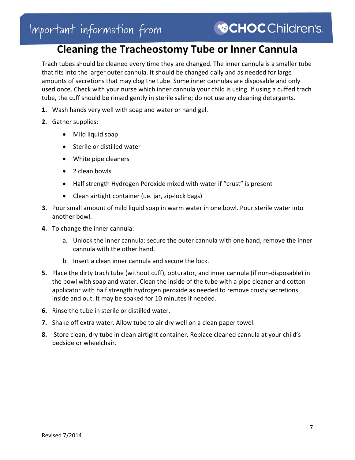# **Cleaning the Tracheostomy Tube or Inner Cannula**

Trach tubes should be cleaned every time they are changed. The inner cannula is a smaller tube that fits into the larger outer cannula. It should be changed daily and as needed for large amounts of secretions that may clog the tube. Some inner cannulas are disposable and only used once. Check with your nurse which inner cannula your child is using. If using a cuffed trach tube, the cuff should be rinsed gently in sterile saline; do not use any cleaning detergents.

- **1.** Wash hands very well with soap and water or hand gel.
- **2.** Gather supplies:
	- Mild liquid soap
	- Sterile or distilled water
	- White pipe cleaners
	- 2 clean bowls
	- Half strength Hydrogen Peroxide mixed with water if "crust" is present
	- Clean airtight container (i.e. jar, zip-lock bags)
- **3.** Pour small amount of mild liquid soap in warm water in one bowl. Pour sterile water into another bowl.
- **4.** To change the inner cannula:
	- a. Unlock the inner cannula: secure the outer cannula with one hand, remove the inner cannula with the other hand.
	- b. Insert a clean inner cannula and secure the lock.
- **5.** Place the dirty trach tube (without cuff), obturator, and inner cannula (if non-disposable) in the bowl with soap and water. Clean the inside of the tube with a pipe cleaner and cotton applicator with half strength hydrogen peroxide as needed to remove crusty secretions inside and out. It may be soaked for 10 minutes if needed.
- **6.** Rinse the tube in sterile or distilled water.
- **7.** Shake off extra water. Allow tube to air dry well on a clean paper towel.
- **8.** Store clean, dry tube in clean airtight container. Replace cleaned cannula at your child's bedside or wheelchair.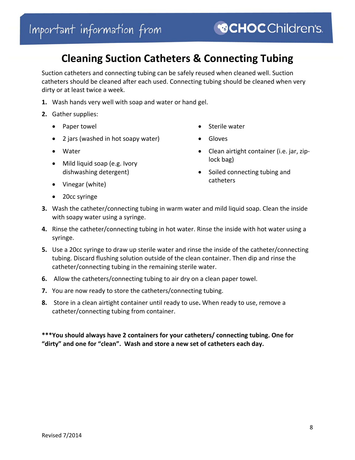### **Cleaning Suction Catheters & Connecting Tubing**

Suction catheters and connecting tubing can be safely reused when cleaned well. Suction catheters should be cleaned after each used. Connecting tubing should be cleaned when very dirty or at least twice a week.

- **1.** Wash hands very well with soap and water or hand gel.
- **2.** Gather supplies:
	- Paper towel
	- 2 jars (washed in hot soapy water)
	- Water
	- Mild liquid soap (e.g. Ivory dishwashing detergent)
- Sterile water
- Gloves
- Clean airtight container (i.e. jar, ziplock bag)
- Soiled connecting tubing and catheters
- Vinegar (white)
- 20cc syringe
- **3.** Wash the catheter/connecting tubing in warm water and mild liquid soap. Clean the inside with soapy water using a syringe.
- **4.** Rinse the catheter/connecting tubing in hot water. Rinse the inside with hot water using a syringe.
- **5.** Use a 20cc syringe to draw up sterile water and rinse the inside of the catheter/connecting tubing. Discard flushing solution outside of the clean container. Then dip and rinse the catheter/connecting tubing in the remaining sterile water.
- **6.** Allow the catheters/connecting tubing to air dry on a clean paper towel.
- **7.** You are now ready to store the catheters/connecting tubing.
- **8.** Store in a clean airtight container until ready to use**.** When ready to use, remove a catheter/connecting tubing from container.

**\*\*\*You should always have 2 containers for your catheters/ connecting tubing. One for "dirty" and one for "clean". Wash and store a new set of catheters each day.**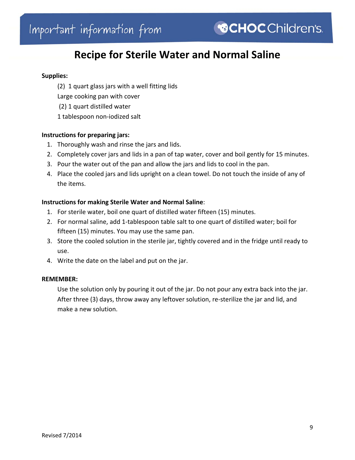### **Recipe for Sterile Water and Normal Saline**

#### **Supplies:**

(2) 1 quart glass jars with a well fitting lids Large cooking pan with cover (2) 1 quart distilled water 1 tablespoon non‐iodized salt

#### **Instructions for preparing jars:**

- 1. Thoroughly wash and rinse the jars and lids.
- 2. Completely cover jars and lids in a pan of tap water, cover and boil gently for 15 minutes.
- 3. Pour the water out of the pan and allow the jars and lids to cool in the pan.
- 4. Place the cooled jars and lids upright on a clean towel. Do not touch the inside of any of the items.

#### **Instructions for making Sterile Water and Normal Saline**:

- 1. For sterile water, boil one quart of distilled water fifteen (15) minutes.
- 2. For normal saline, add 1‐tablespoon table salt to one quart of distilled water; boil for fifteen (15) minutes. You may use the same pan.
- 3. Store the cooled solution in the sterile jar, tightly covered and in the fridge until ready to use.
- 4. Write the date on the label and put on the jar.

#### **REMEMBER:**

 Use the solution only by pouring it out of the jar. Do not pour any extra back into the jar. After three (3) days, throw away any leftover solution, re‐sterilize the jar and lid, and make a new solution.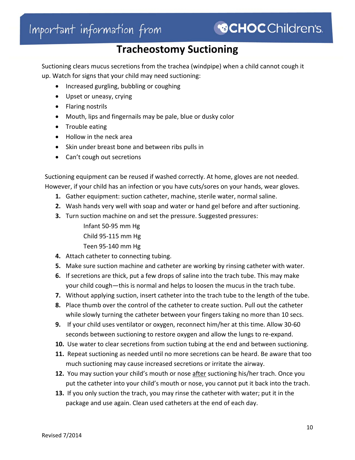### **Tracheostomy Suctioning**

Suctioning clears mucus secretions from the trachea (windpipe) when a child cannot cough it up. Watch for signs that your child may need suctioning:

- Increased gurgling, bubbling or coughing
- Upset or uneasy, crying
- Flaring nostrils
- Mouth, lips and fingernails may be pale, blue or dusky color
- Trouble eating
- Hollow in the neck area
- Skin under breast bone and between ribs pulls in
- Can't cough out secretions

Suctioning equipment can be reused if washed correctly. At home, gloves are not needed. However, if your child has an infection or you have cuts/sores on your hands, wear gloves.

- **1.** Gather equipment: suction catheter, machine, sterile water, normal saline.
- **2.** Wash hands very well with soap and water or hand gel before and after suctioning.
- **3.** Turn suction machine on and set the pressure. Suggested pressures:
	- Infant 50‐95 mm Hg Child 95‐115 mm Hg
	- Teen 95‐140 mm Hg
- **4.** Attach catheter to connecting tubing.
- **5.** Make sure suction machine and catheter are working by rinsing catheter with water.
- **6.** If secretions are thick, put a few drops of saline into the trach tube. This may make your child cough—this is normal and helps to loosen the mucus in the trach tube.
- **7.** Without applying suction, insert catheter into the trach tube to the length of the tube.
- **8.** Place thumb over the control of the catheter to create suction. Pull out the catheter while slowly turning the catheter between your fingers taking no more than 10 secs.
- **9.** If your child uses ventilator or oxygen, reconnect him/her at this time. Allow 30‐60 seconds between suctioning to restore oxygen and allow the lungs to re‐expand.
- **10.** Use water to clear secretions from suction tubing at the end and between suctioning.
- **11.** Repeat suctioning as needed until no more secretions can be heard. Be aware that too much suctioning may cause increased secretions or irritate the airway.
- 12. You may suction your child's mouth or nose after suctioning his/her trach. Once you put the catheter into your child's mouth or nose, you cannot put it back into the trach.
- **13.** If you only suction the trach, you may rinse the catheter with water; put it in the package and use again. Clean used catheters at the end of each day.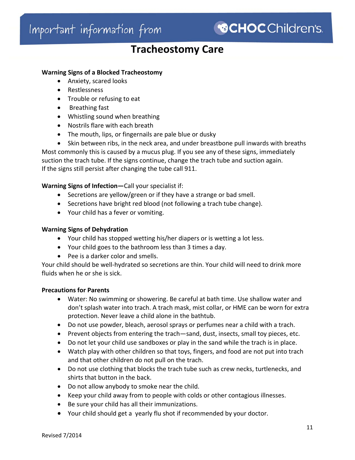### **Tracheostomy Care**

#### **Warning Signs of a Blocked Tracheostomy**

- Anxiety, scared looks
- Restlessness
- Trouble or refusing to eat
- Breathing fast
- Whistling sound when breathing
- Nostrils flare with each breath
- The mouth, lips, or fingernails are pale blue or dusky

 Skin between ribs, in the neck area, and under breastbone pull inwards with breaths Most commonly this is caused by a mucus plug. If you see any of these signs, immediately suction the trach tube. If the signs continue, change the trach tube and suction again. If the signs still persist after changing the tube call 911.

#### **Warning Signs of Infection—**Call your specialist if:

- Secretions are yellow/green or if they have a strange or bad smell.
- Secretions have bright red blood (not following a trach tube change).
- Your child has a fever or vomiting.

#### **Warning Signs of Dehydration**

- Your child has stopped wetting his/her diapers or is wetting a lot less.
- Your child goes to the bathroom less than 3 times a day.
- Pee is a darker color and smells.

Your child should be well‐hydrated so secretions are thin. Your child will need to drink more fluids when he or she is sick.

#### **Precautions for Parents**

- Water: No swimming or showering. Be careful at bath time. Use shallow water and don't splash water into trach. A trach mask, mist collar, or HME can be worn for extra protection. Never leave a child alone in the bathtub.
- Do not use powder, bleach, aerosol sprays or perfumes near a child with a trach.
- Prevent objects from entering the trach—sand, dust, insects, small toy pieces, etc.
- Do not let your child use sandboxes or play in the sand while the trach is in place.
- Watch play with other children so that toys, fingers, and food are not put into trach and that other children do not pull on the trach.
- Do not use clothing that blocks the trach tube such as crew necks, turtlenecks, and shirts that button in the back.
- Do not allow anybody to smoke near the child.
- Keep your child away from to people with colds or other contagious illnesses.
- Be sure your child has all their immunizations.
- Your child should get a yearly flu shot if recommended by your doctor.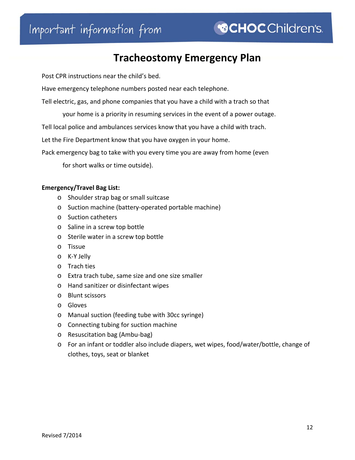# Important information from

# **Tracheostomy Emergency Plan**

Post CPR instructions near the child's bed.

Have emergency telephone numbers posted near each telephone.

Tell electric, gas, and phone companies that you have a child with a trach so that

your home is a priority in resuming services in the event of a power outage.

Tell local police and ambulances services know that you have a child with trach.

Let the Fire Department know that you have oxygen in your home.

Pack emergency bag to take with you every time you are away from home (even

for short walks or time outside).

#### **Emergency/Travel Bag List:**

- o Shoulder strap bag or small suitcase
- o Suction machine (battery‐operated portable machine)
- o Suction catheters
- o Saline in a screw top bottle
- o Sterile water in a screw top bottle
- o Tissue
- o K‐Y Jelly
- o Trach ties
- o Extra trach tube, same size and one size smaller
- o Hand sanitizer or disinfectant wipes
- o Blunt scissors
- o Gloves
- o Manual suction (feeding tube with 30cc syringe)
- o Connecting tubing for suction machine
- o Resuscitation bag (Ambu‐bag)
- o For an infant or toddler also include diapers, wet wipes, food/water/bottle, change of clothes, toys, seat or blanket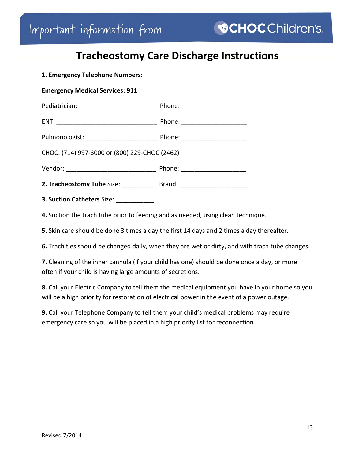# **Tracheostomy Care Discharge Instructions**

|  | 1. Emergency Telephone Numbers: |
|--|---------------------------------|
|--|---------------------------------|

|  |  | <b>Emergency Medical Services: 911</b> |
|--|--|----------------------------------------|
|--|--|----------------------------------------|

| Pediatrician: | Phone: |
|---------------|--------|
|               |        |
| ENT:          | Phone: |

| Pulmonologist: | Phone: |
|----------------|--------|
|                |        |

CHOC: (714) 997‐3000 or (800) 229‐CHOC (2462)

| Vendor: | Phone: |
|---------|--------|
|---------|--------|

| 2. Tracheostomy Tube Size: | Brand: |
|----------------------------|--------|
|----------------------------|--------|

**3. Suction Catheters** Size: \_\_\_\_\_\_\_\_\_\_\_

**4.** Suction the trach tube prior to feeding and as needed, using clean technique.

**5.** Skin care should be done 3 times a day the first 14 days and 2 times a day thereafter.

**6.** Trach ties should be changed daily, when they are wet or dirty, and with trach tube changes.

**7.** Cleaning of the inner cannula (if your child has one) should be done once a day, or more often if your child is having large amounts of secretions.

**8.** Call your Electric Company to tell them the medical equipment you have in your home so you will be a high priority for restoration of electrical power in the event of a power outage.

**9.** Call your Telephone Company to tell them your child's medical problems may require emergency care so you will be placed in a high priority list for reconnection.